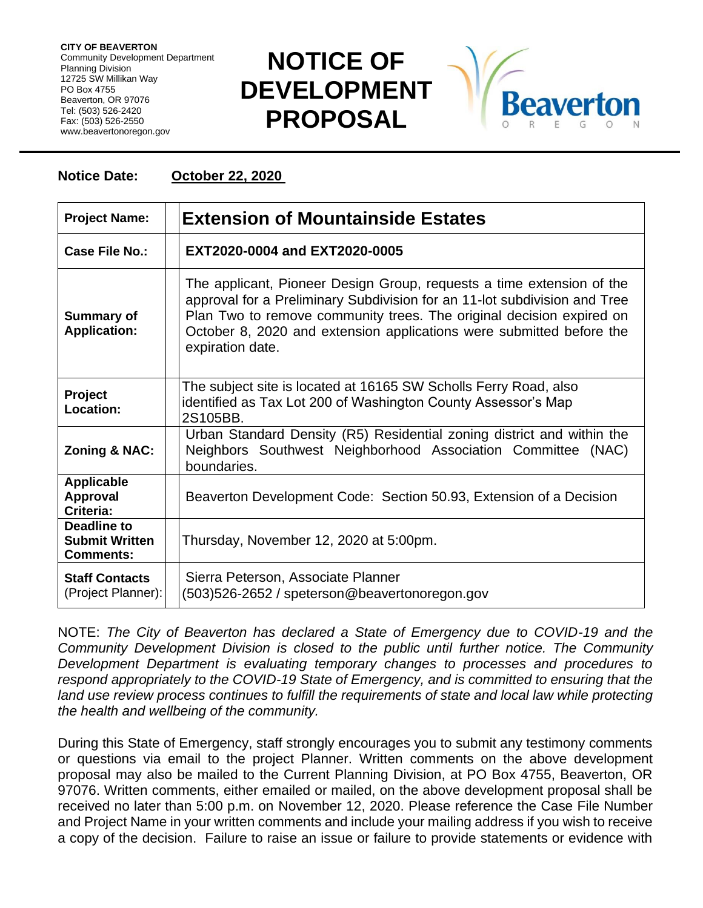**CITY OF BEAVERTON** Community Development Department Planning Division 12725 SW Millikan Way PO Box 4755 Beaverton, OR 97076 Tel: (503) 526-2420 Fax: (503) 526-2550 www.beavertonoregon.gov

## **NOTICE OF DEVELOPMENT PROPOSAL**



## **Notice Date: October 22, 2020**

| <b>Project Name:</b>                                     | <b>Extension of Mountainside Estates</b>                                                                                                                                                                                                                                                                               |
|----------------------------------------------------------|------------------------------------------------------------------------------------------------------------------------------------------------------------------------------------------------------------------------------------------------------------------------------------------------------------------------|
| Case File No.:                                           | EXT2020-0004 and EXT2020-0005                                                                                                                                                                                                                                                                                          |
| <b>Summary of</b><br><b>Application:</b>                 | The applicant, Pioneer Design Group, requests a time extension of the<br>approval for a Preliminary Subdivision for an 11-lot subdivision and Tree<br>Plan Two to remove community trees. The original decision expired on<br>October 8, 2020 and extension applications were submitted before the<br>expiration date. |
| Project<br>Location:                                     | The subject site is located at 16165 SW Scholls Ferry Road, also<br>identified as Tax Lot 200 of Washington County Assessor's Map<br>2S105BB.                                                                                                                                                                          |
| <b>Zoning &amp; NAC:</b>                                 | Urban Standard Density (R5) Residential zoning district and within the<br>Neighbors Southwest Neighborhood Association Committee (NAC)<br>boundaries.                                                                                                                                                                  |
| <b>Applicable</b><br><b>Approval</b><br>Criteria:        | Beaverton Development Code: Section 50.93, Extension of a Decision                                                                                                                                                                                                                                                     |
| Deadline to<br><b>Submit Written</b><br><b>Comments:</b> | Thursday, November 12, 2020 at 5:00pm.                                                                                                                                                                                                                                                                                 |
| <b>Staff Contacts</b><br>(Project Planner):              | Sierra Peterson, Associate Planner<br>(503)526-2652 / speterson@beavertonoregon.gov                                                                                                                                                                                                                                    |

NOTE: *The City of Beaverton has declared a State of Emergency due to COVID-19 and the Community Development Division is closed to the public until further notice. The Community Development Department is evaluating temporary changes to processes and procedures to respond appropriately to the COVID-19 State of Emergency, and is committed to ensuring that the*  land use review process continues to fulfill the requirements of state and local law while protecting *the health and wellbeing of the community.*

During this State of Emergency, staff strongly encourages you to submit any testimony comments or questions via email to the project Planner. Written comments on the above development proposal may also be mailed to the Current Planning Division, at PO Box 4755, Beaverton, OR 97076. Written comments, either emailed or mailed, on the above development proposal shall be received no later than 5:00 p.m. on November 12, 2020. Please reference the Case File Number and Project Name in your written comments and include your mailing address if you wish to receive a copy of the decision. Failure to raise an issue or failure to provide statements or evidence with